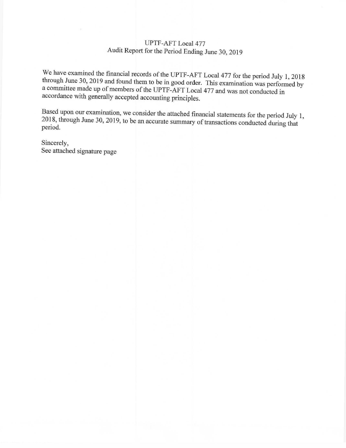## **UPTF-AFT Local 477** Audit Report for the Period Ending June 30, 2019

We have examined the financial records of the UPTF-AFT Local 477 for the period July 1, 2018 through June 30, 2019 and found them to be in good order. This examination was performed by a committee made up of members of the UPTF-AFT Local 477 and was not conducted in accordance with generally accepted accounting principles.

Based upon our examination, we consider the attached financial statements for the period July 1, 2018, through June 30, 2019, to be an accurate summary of transactions conducted during that period.

Sincerely, See attached signature page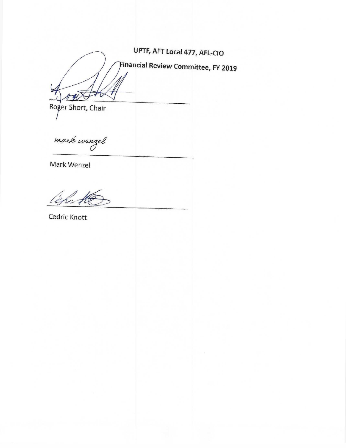UPTF, AFT Local 477, AFL-CIO Financial Review Committee, FY 2019  $\boldsymbol{\hat{y}}$ 

Roger Short, Chair

mark wenzel

Mark Wenzel

202 74

Cedric Knott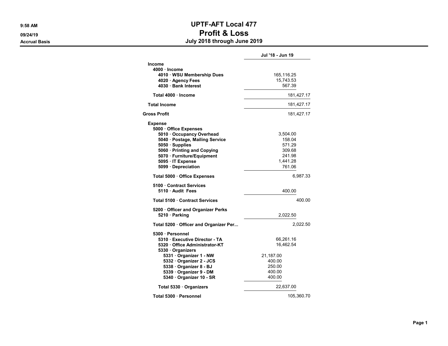## 9:58 AM **UPTF-AFT Local 477** 09/24/19 Profit & Loss

Accrual Basis July 2018 through June 2019

|                                                                     | Jul '18 - Jun 19 |
|---------------------------------------------------------------------|------------------|
| Income<br>4000 · Income<br>4010 · WSU Membership Dues               | 165,116.25       |
| 4020 · Agency Fees                                                  | 15,743.53        |
| 4030 · Bank Interest                                                | 567.39           |
| Total 4000 · Income                                                 | 181,427.17       |
| <b>Total Income</b>                                                 | 181,427.17       |
| Gross Profit                                                        | 181,427.17       |
|                                                                     |                  |
| <b>Expense</b><br>5000 Office Expenses<br>5010 · Occupancy Overhead | 3,504.00         |
| 5040 · Postage, Mailing Service                                     | 158.04           |
| 5050 · Supplies                                                     | 571.29           |
| 5060 · Printing and Copying                                         | 309.68           |
| 5070 · Furniture/Equipment                                          | 241.98           |
| 5095 · IT Expense                                                   | 1,441.28         |
| 5099 Depreciation                                                   | 761.06           |
| Total 5000 Office Expenses                                          | 6,987.33         |
| 5100 Contract Services<br>5110 Audit Fees                           | 400.00           |
| Total 5100 Contract Services                                        | 400.00           |
| 5200 Officer and Organizer Perks<br>5210 · Parking                  | 2,022.50         |
| Total 5200 Officer and Organizer Per                                | 2,022.50         |
| 5300 · Personnel                                                    |                  |
| 5310 Executive Director - TA                                        | 66,261.16        |
| 5320 Office Administrator-KT                                        | 16,462.54        |
| 5330 · Organizers                                                   |                  |
| 5331 Organizer 1 - NW                                               | 21,187.00        |
| 5332 · Organizer 2 - JCS                                            | 400.00           |
| 5338 Organizer 8 - BJ                                               | 250.00           |
| 5339 · Organizer 9 - DM                                             | 400.00           |
| 5340 · Organizer 10 - SR                                            | 400.00           |
| Total 5330 · Organizers                                             | 22,637.00        |
| Total 5300 · Personnel                                              | 105,360.70       |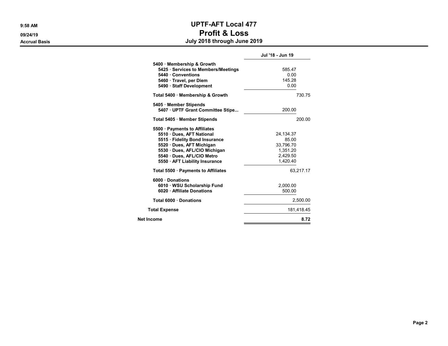## 9:58 AM **UPTF-AFT Local 477** 09/24/19 Profit & Loss Accrual Basis July 2018 through June 2019

|                                                                                                                                                                                                                        | Jul '18 - Jun 19                                                      |
|------------------------------------------------------------------------------------------------------------------------------------------------------------------------------------------------------------------------|-----------------------------------------------------------------------|
| 5400 Membership & Growth<br>5425 · Services to Members/Meetings<br>5440 Conventions<br>5460 · Travel, per Diem<br>5490 Staff Development                                                                               | 585.47<br>0.00<br>145.28<br>0.00                                      |
| Total 5400 Membership & Growth                                                                                                                                                                                         | 730.75                                                                |
| 5405 Member Stipends<br>5407 UPTF Grant Committee Stipe                                                                                                                                                                | 200.00                                                                |
| Total 5405 · Member Stipends                                                                                                                                                                                           | 200.00                                                                |
| 5500 · Payments to Affiliates<br>5510 Dues, AFT National<br>5515 · Fidelity Bond Insurance<br>5520 · Dues, AFT Michigan<br>5530 Dues, AFL/CIO Michigan<br>5540 · Dues, AFL/CIO Metro<br>5550 · AFT Liability Insurance | 24, 134. 37<br>85.00<br>33,796.70<br>1,351.20<br>2.429.50<br>1.420.40 |
| Total 5500 · Payments to Affiliates                                                                                                                                                                                    | 63,217.17                                                             |
| 6000 Donations<br>6010 WSU Scholarship Fund<br>6020 · Affiliate Donations                                                                                                                                              | 2,000.00<br>500.00                                                    |
| Total 6000 Donations                                                                                                                                                                                                   | 2,500.00                                                              |
| <b>Total Expense</b>                                                                                                                                                                                                   | 181.418.45                                                            |
| Net Income                                                                                                                                                                                                             | 8.72                                                                  |
|                                                                                                                                                                                                                        |                                                                       |